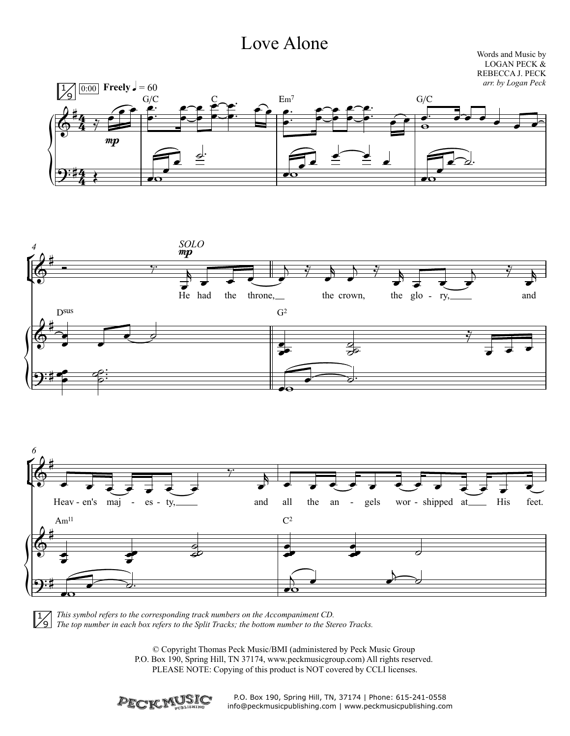## Love Alone

Words and Music by LOGAN PECK & REBECCA J. PECK







*This symbol refers to the corresponding track numbers on the Accompaniment CD. The top number in each box refers to the Split Tracks; the bottom number to the Stereo Tracks.*

> © Copyright Thomas Peck Music/BMI (administered by Peck Music Group P.O. Box 190, Spring Hill, TN 37174, www.peckmusicgroup.com) All rights reserved. PLEASE NOTE: Copying of this product is NOT covered by CCLI licenses.



P.O. Box 190, Spring Hill, TN, 37174 | Phone: 615-241-0558 info@peckmusicpublishing.com | www.peckmusicpublishing.com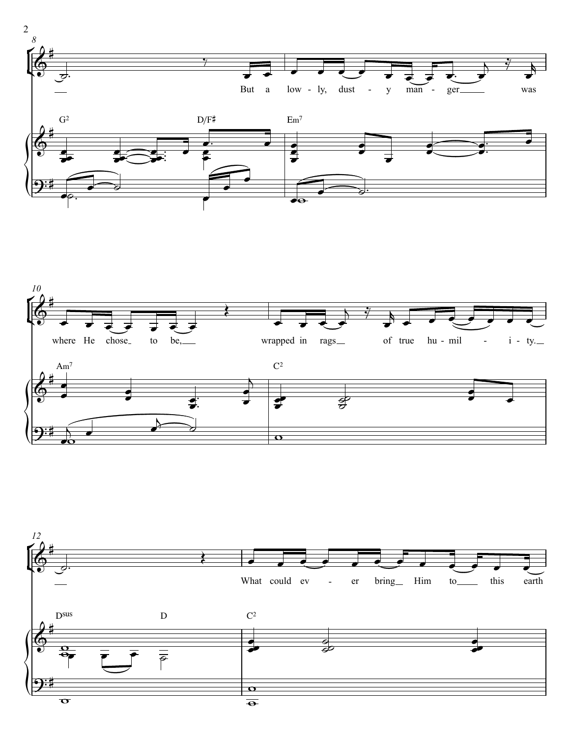



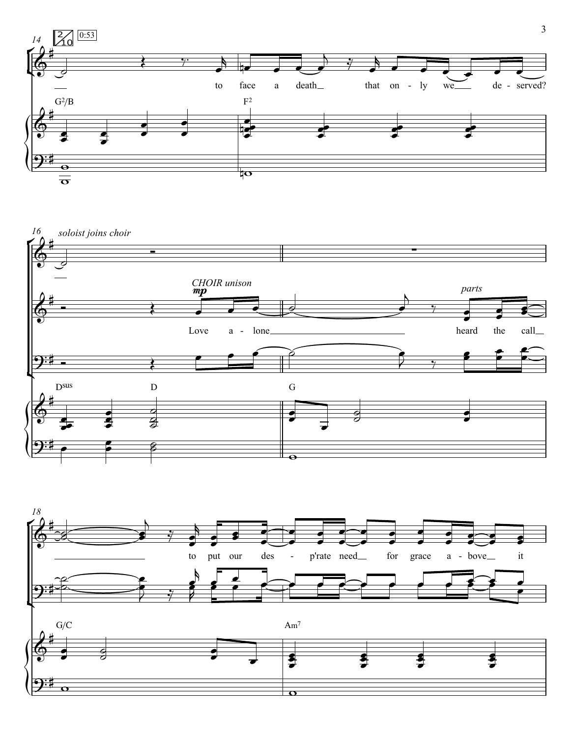



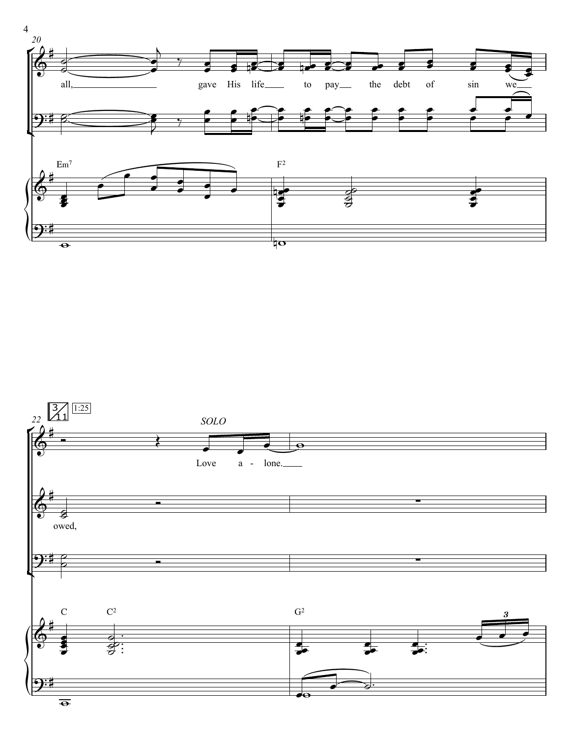



 $\overline{\bullet}$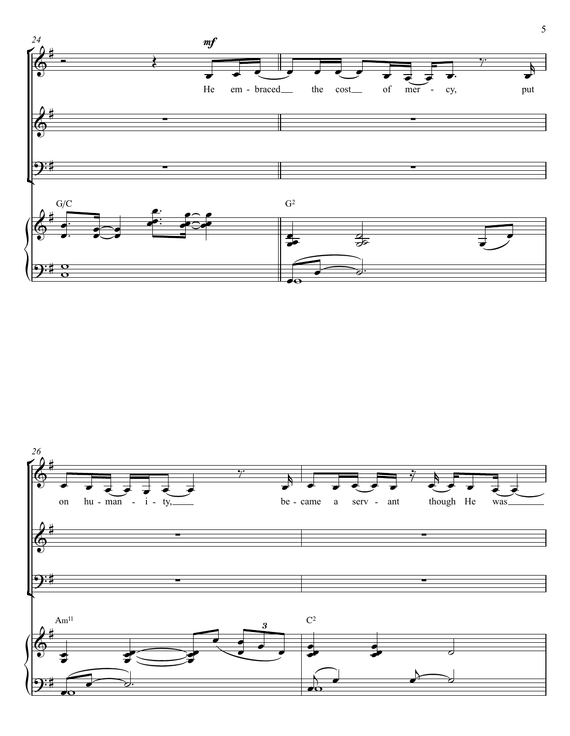

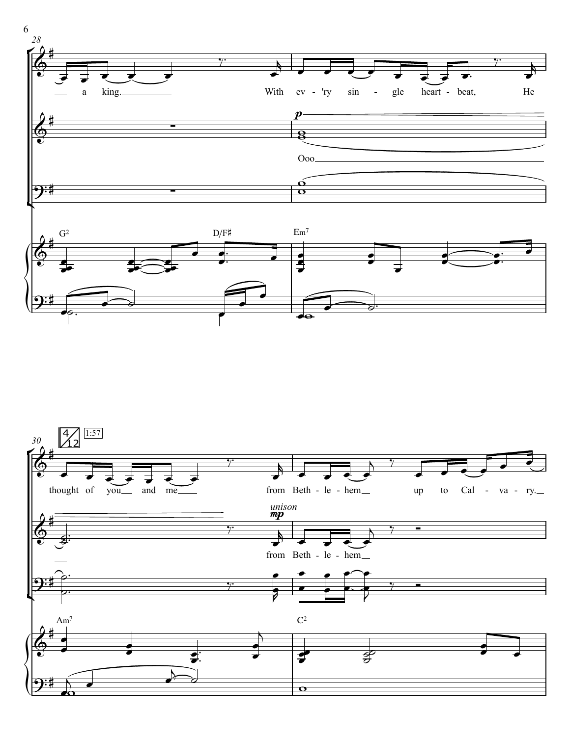

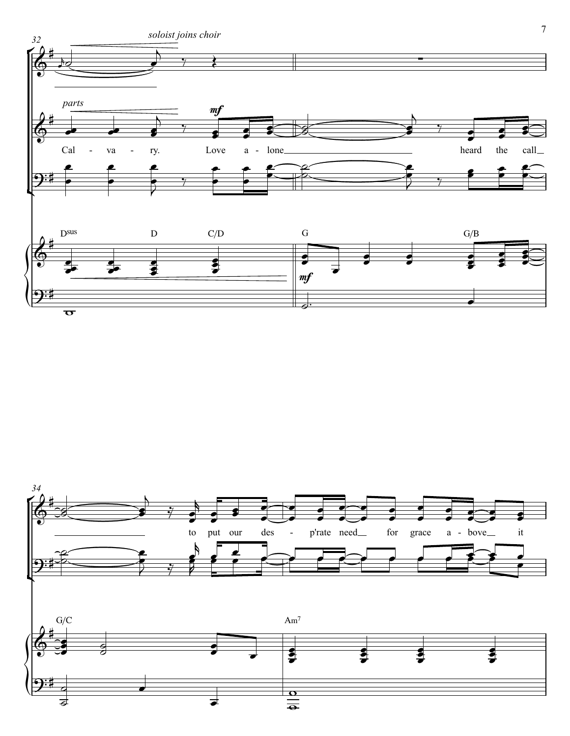

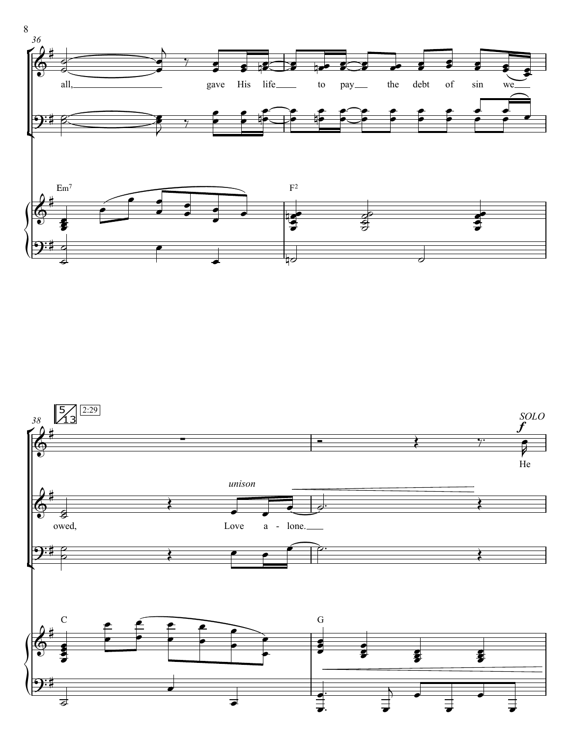

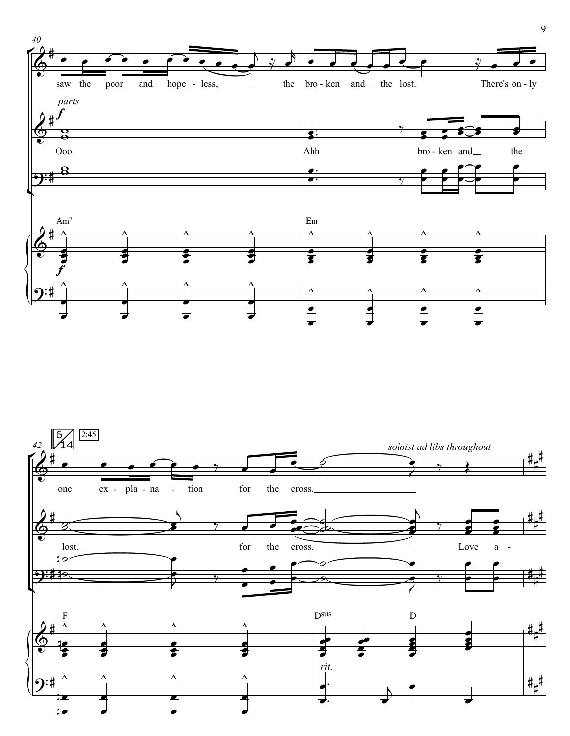

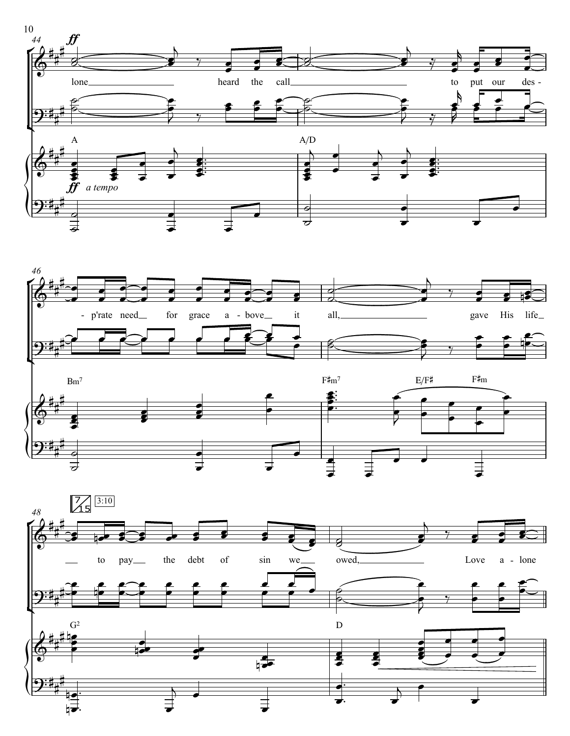





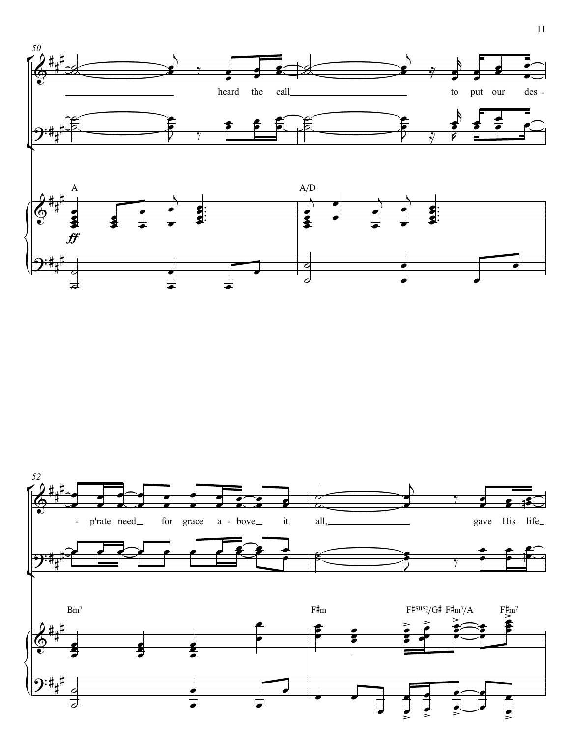

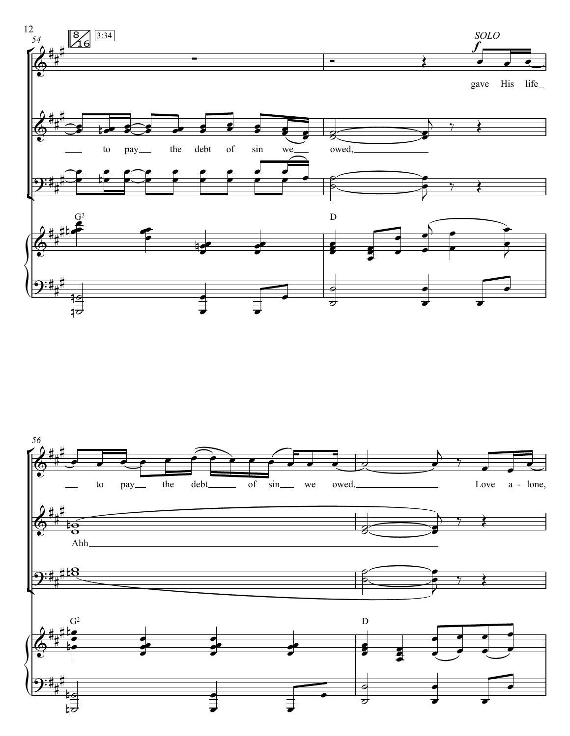